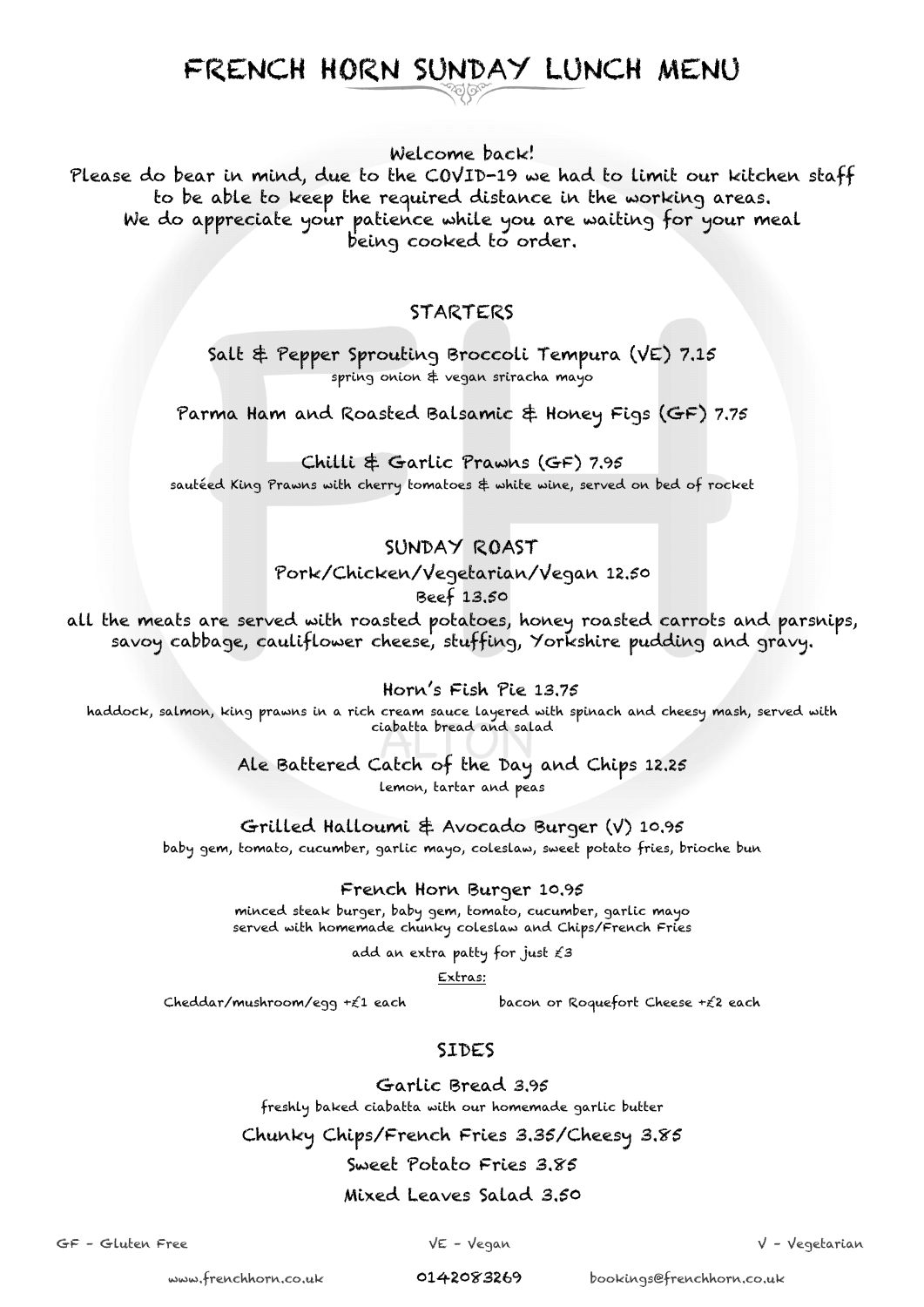# FRENCH HORN SUNDAY LUNCH MENU

Welcome back!

Please do bear in mind, due to the COVID-19 we had to limit our kitchen staff to be able to keep the required distance in the working areas. We do appreciate your patience while you are waiting for your meal being cooked to order.

#### STARTERS

Salt & Pepper Sprouting Broccoli Tempura (VE) 7.15 spring onion & vegan sriracha mayo

Parma Ham and Roasted Balsamic & Honey Figs (GF) 7.75

Chilli & Garlic Prawns (GF) 7.95 sautéed King Prawns with cherry tomatoes & white wine, served on bed of rocket

#### SUNDAY ROAST

Pork/Chicken/Vegetarian/Vegan 12.50 Beef 13.50

all the meats are served with roasted potatoes, honey roasted carrots and parsnips, savoy cabbage, cauliflower cheese, stuffing, Yorkshire pudding and gravy.

Horn's Fish Pie 13.75

haddock, salmon, king prawns in a rich cream sauce layered with spinach and cheesy mash, served with ciabatta bread and salad

Ale Battered Catch of the Day and Chips 12.25

lemon, tartar and peas

Grilled Halloumi & Avocado Burger (V) 10.95

baby gem, tomato, cucumber, garlic mayo, coleslaw, sweet potato fries, brioche bun

French Horn Burger 10.95

minced steak burger, baby gem, tomato, cucumber, garlic mayo served with homemade chunky coleslaw and Chips/French Fries

add an extra patty for just £3

Extras:

Cheddar/mushroom/egg +£1 each bacon or Roquefort Cheese +£2 each

## SIDES

Garlic Bread 3.95 freshly baked ciabatta with our homemade garlic butter

Chunky Chips/French Fries 3.35/Cheesy 3.85

## Sweet Potato Fries 3.85

#### Mixed Leaves Salad 3.50

GF – Gluten Free VE – Vegan V – Vegetarian